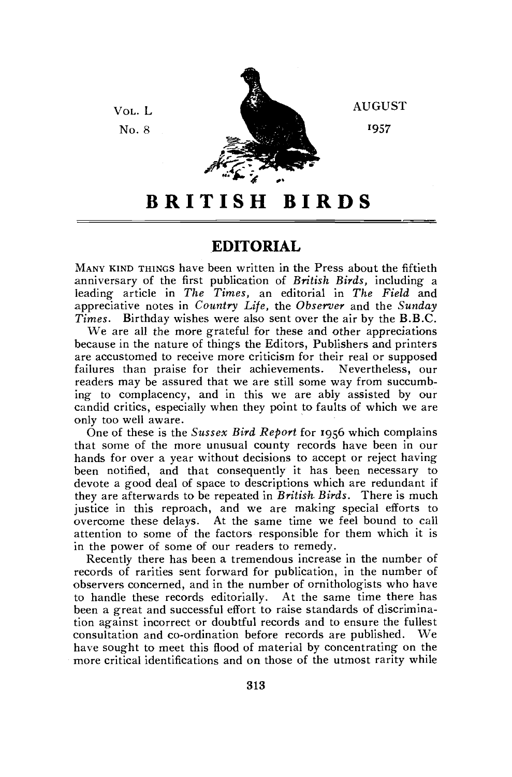

AUGUST

'957

## **BRITIS H BIRD S**

## **EDITORIAL**

MANY KIND THINGS have been written in the Press about the fiftieth anniversary of the first publication of *British Birds,* including a leading article in *The Times,* an editorial in *The Field* and appreciative notes in *Country Life,* the *Observer* and the *Sunday Times.* Birthday wishes were also sent over the air by the B.B.C.

We are all the more grateful for these and other appreciations because in the nature of things the Editors, Publishers and printers are accustomed to receive more criticism for their real or supposed failures than praise for their achievements. Nevertheless, our readers may be assured that we are still some way from succumbing to complacency, and in this we are ably assisted by our candid critics, especially when they point to faults of which we are only too well aware.

One of these is the *Sussex Bird Report* for 1956 which complains that some of the more unusual county records have been in our hands for over a year without decisions to accept or reject having been notified, and that consequently it has been necessary to devote a good deal of space to descriptions which are redundant if they are afterwards to be repeated in *British Birds.* There is much justice in this reproach, and we are making special efforts to overcome these delays. At the same time we feel bound to call attention to some of the factors responsible for them which it is in the power of some of our readers to remedy.

Recently there has been a tremendous increase in the number of records of rarities sent forward for publication, in the number of observers concerned, and in the number of ornithologists who have to handle these records editorially. At the same time there has been a great and successful effort to raise standards of discrimination against incorrect or doubtful records and to ensure the fullest consultation and co-ordination before records are published. We have sought to meet this flood of material by concentrating on the more critical identifications and on those of the utmost rarity while